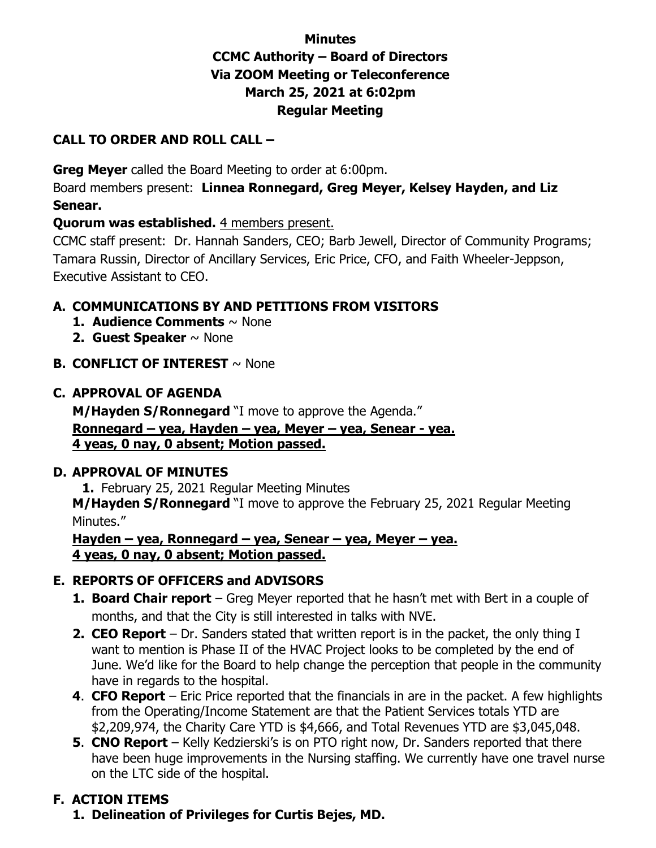## **Minutes CCMC Authority – Board of Directors Via ZOOM Meeting or Teleconference March 25, 2021 at 6:02pm Regular Meeting**

### **CALL TO ORDER AND ROLL CALL –**

**Greg Meyer** called the Board Meeting to order at 6:00pm.

Board members present: **Linnea Ronnegard, Greg Meyer, Kelsey Hayden, and Liz Senear.** 

#### **Quorum was established.** 4 members present.

CCMC staff present: Dr. Hannah Sanders, CEO; Barb Jewell, Director of Community Programs; Tamara Russin, Director of Ancillary Services, Eric Price, CFO, and Faith Wheeler-Jeppson, Executive Assistant to CEO.

## **A. COMMUNICATIONS BY AND PETITIONS FROM VISITORS**

- **1. Audience Comments** ~ None
- **2. Guest Speaker** ~ None
- **B. CONFLICT OF INTEREST** ~ None

### **C. APPROVAL OF AGENDA**

**M/Hayden S/Ronnegard** "I move to approve the Agenda." **Ronnegard – yea, Hayden – yea, Meyer – yea, Senear - yea. 4 yeas, 0 nay, 0 absent; Motion passed.** 

#### **D. APPROVAL OF MINUTES**

**1.** February 25, 2021 Regular Meeting Minutes

**M/Hayden S/Ronnegard** "I move to approve the February 25, 2021 Regular Meeting Minutes."

**Hayden – yea, Ronnegard – yea, Senear – yea, Meyer – yea. 4 yeas, 0 nay, 0 absent; Motion passed.** 

## **E. REPORTS OF OFFICERS and ADVISORS**

- **1. Board Chair report** Greg Meyer reported that he hasn't met with Bert in a couple of months, and that the City is still interested in talks with NVE.
- **2. CEO Report** Dr. Sanders stated that written report is in the packet, the only thing I want to mention is Phase II of the HVAC Project looks to be completed by the end of June. We'd like for the Board to help change the perception that people in the community have in regards to the hospital.
- **4**. **CFO Report** Eric Price reported that the financials in are in the packet. A few highlights from the Operating/Income Statement are that the Patient Services totals YTD are \$2,209,974, the Charity Care YTD is \$4,666, and Total Revenues YTD are \$3,045,048.
- **5**. **CNO Report** Kelly Kedzierski's is on PTO right now, Dr. Sanders reported that there have been huge improvements in the Nursing staffing. We currently have one travel nurse on the LTC side of the hospital.

# **F. ACTION ITEMS**

**1. Delineation of Privileges for Curtis Bejes, MD.**